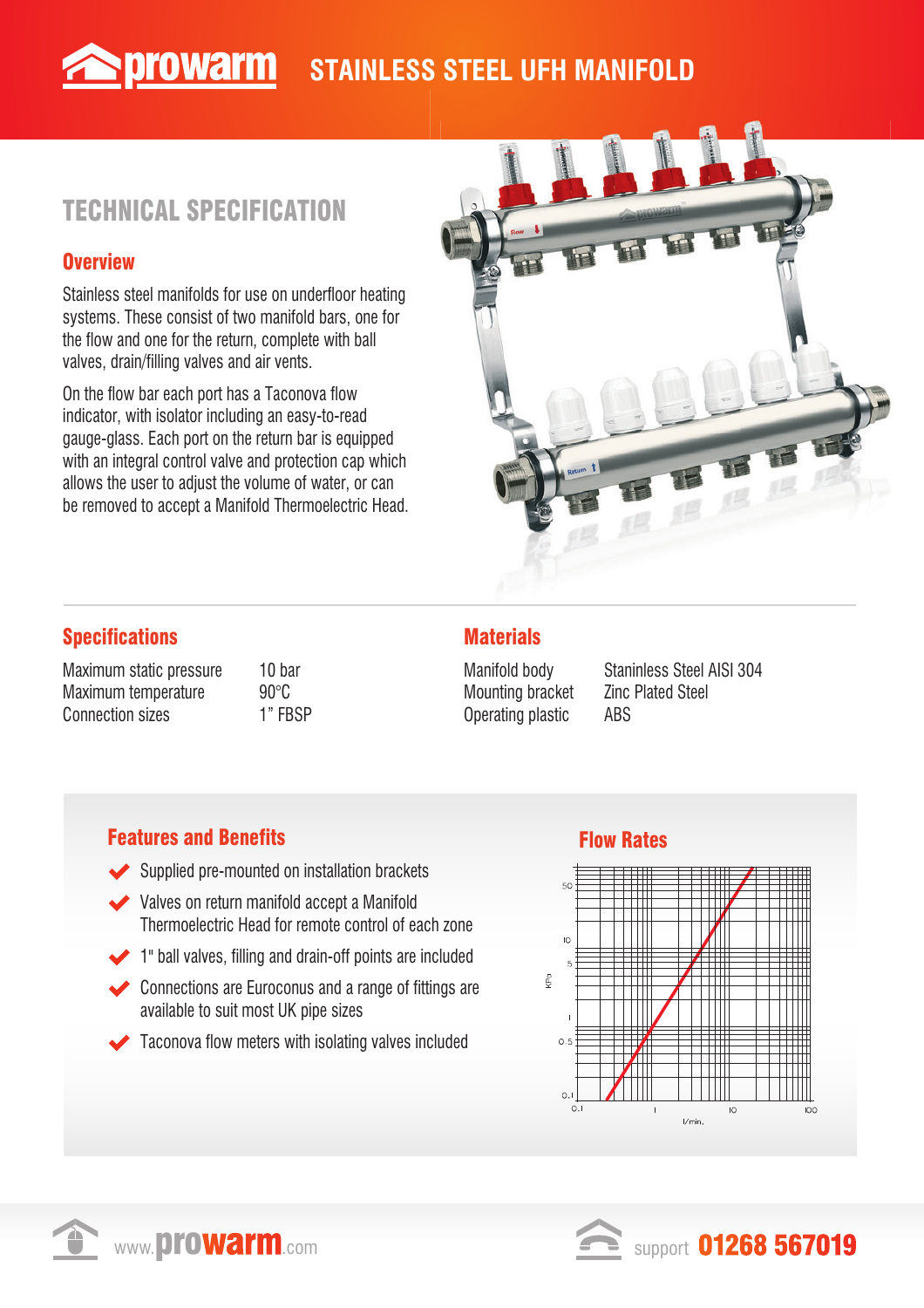## **STAINLESS STEEL UFH MANIFOLD**

# TECHNICAL SPECIFICATION

**Sprowarm** 

#### **Overview**

Stainless steel manifolds for use on underfloor heating systems. These consist of two manifold bars, one for the flow and one for the return, complete with ball valves, drain/filling valves and air vents.

On the flow bar each port has a Taconova flow indicator, with isolator including an easy-to-read gauge-glass. Each port on the return bar is equipped with an integral control valve and protection cap which allows the user to adjust the volume of water, or can be removed to accept a Manifold Thermoelectric Head.



### Specifications

Maximum static pressure 10 bar Maximum temperature 90°C Connection sizes 1" FBSP

### **Materials**

Mounting bracket **Zinc Plated Steel** Operating plastic ABS

Manifold body Staninless Steel AISI 304

#### **Features and Benefits Flow Rates**

- Supplied pre-mounted on installation brackets
- Valves on return manifold accept a Manifold Thermoelectric Head for remote control of each zone
- 1" ball valves, filling and drain-off points are included
- Connections are Euroconus and a range of fittings are available to suit most UK pipe sizes
- Taconova flow meters with isolating valves included